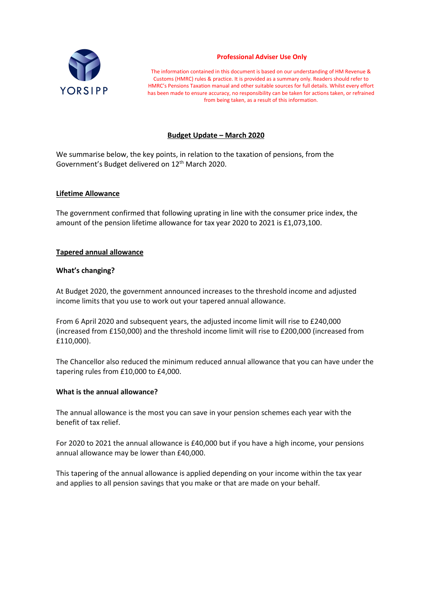

#### **Professional Adviser Use Only**

The information contained in this document is based on our understanding of HM Revenue & Customs (HMRC) rules & practice. It is provided as a summary only. Readers should refer to HMRC's Pensions Taxation manual and other suitable sources for full details. Whilst every effort has been made to ensure accuracy, no responsibility can be taken for actions taken, or refrained from being taken, as a result of this information.

## **Budget Update – March 2020**

We summarise below, the key points, in relation to the taxation of pensions, from the Government's Budget delivered on 12<sup>th</sup> March 2020.

### **Lifetime Allowance**

The government confirmed that following uprating in line with the consumer price index, the amount of the pension lifetime allowance for tax year 2020 to 2021 is £1,073,100.

### **Tapered annual allowance**

### **What's changing?**

At Budget 2020, the government announced increases to the threshold income and adjusted income limits that you use to work out your tapered annual allowance.

From 6 April 2020 and subsequent years, the adjusted income limit will rise to £240,000 (increased from £150,000) and the threshold income limit will rise to £200,000 (increased from £110,000).

The Chancellor also reduced the minimum reduced annual allowance that you can have under the tapering rules from £10,000 to £4,000.

### **What is the annual allowance?**

The annual allowance is the most you can save in your pension schemes each year with the benefit of tax relief.

For 2020 to 2021 the annual allowance is £40,000 but if you have a high income, your pensions annual allowance may be lower than £40,000.

This tapering of the annual allowance is applied depending on your income within the tax year and applies to all pension savings that you make or that are made on your behalf.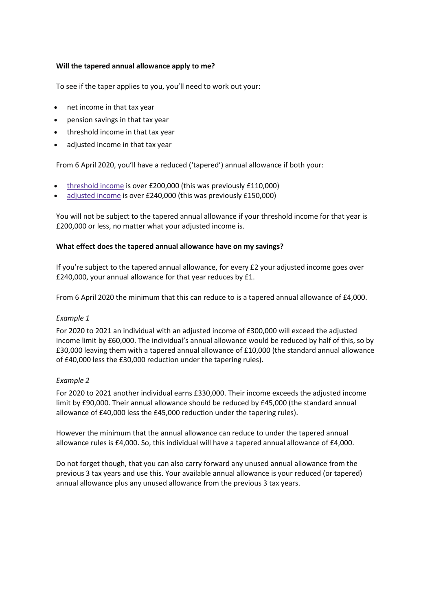## **Will the tapered annual allowance apply to me?**

To see if the taper applies to you, you'll need to work out your:

- net income in that tax year
- pension savings in that tax year
- threshold income in that tax year
- adjusted income in that tax year

From 6 April 2020, you'll have a reduced ('tapered') annual allowance if both your:

- [threshold](https://www.gov.uk/guidance/pension-schemes-work-out-your-tapered-annual-allowance#threshold) income is over £200,000 (this was previously £110,000)
- [adjusted](https://www.gov.uk/guidance/pension-schemes-work-out-your-tapered-annual-allowance#adjusted) income is over £240,000 (this was previously £150,000)

You will not be subject to the tapered annual allowance if your threshold income for that year is £200,000 or less, no matter what your adjusted income is.

### **What effect does the tapered annual allowance have on my savings?**

If you're subject to the tapered annual allowance, for every £2 your adjusted income goes over £240,000, your annual allowance for that year reduces by £1.

From 6 April 2020 the minimum that this can reduce to is a tapered annual allowance of £4,000.

### *Example 1*

For 2020 to 2021 an individual with an adjusted income of £300,000 will exceed the adjusted income limit by £60,000. The individual's annual allowance would be reduced by half of this, so by £30,000 leaving them with a tapered annual allowance of £10,000 (the standard annual allowance of £40,000 less the £30,000 reduction under the tapering rules).

# *Example 2*

For 2020 to 2021 another individual earns £330,000. Their income exceeds the adjusted income limit by £90,000. Their annual allowance should be reduced by £45,000 (the standard annual allowance of £40,000 less the £45,000 reduction under the tapering rules).

However the minimum that the annual allowance can reduce to under the tapered annual allowance rules is £4,000. So, this individual will have a tapered annual allowance of £4,000.

Do not forget though, that you can also carry forward any unused annual allowance from the previous 3 tax years and use this. Your available annual allowance is your reduced (or tapered) annual allowance plus any unused allowance from the previous 3 tax years.